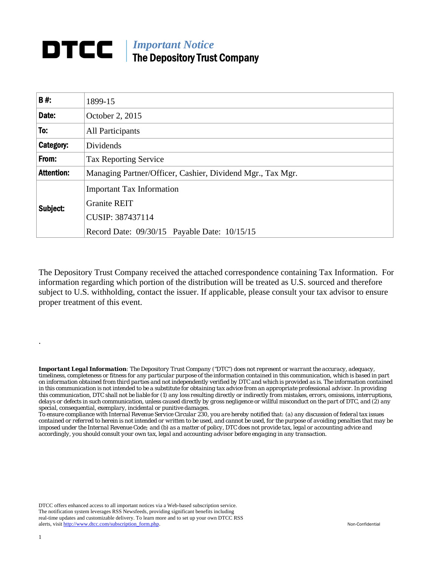## DTCC | *Important Notice*  The Depository Trust Company

| <b>B#:</b>        |                                                            |
|-------------------|------------------------------------------------------------|
|                   | 1899-15                                                    |
| Date:             | October 2, 2015                                            |
| To:               | All Participants                                           |
| Category:         | Dividends                                                  |
| From:             | <b>Tax Reporting Service</b>                               |
| <b>Attention:</b> | Managing Partner/Officer, Cashier, Dividend Mgr., Tax Mgr. |
| Subject:          | <b>Important Tax Information</b>                           |
|                   | <b>Granite REIT</b>                                        |
|                   | CUSIP: 387437114                                           |
|                   | Record Date: 09/30/15 Payable Date: 10/15/15               |

The Depository Trust Company received the attached correspondence containing Tax Information. For information regarding which portion of the distribution will be treated as U.S. sourced and therefore subject to U.S. withholding, contact the issuer. If applicable, please consult your tax advisor to ensure proper treatment of this event.

*Important Legal Information: The Depository Trust Company ("DTC") does not represent or warrant the accuracy, adequacy, timeliness, completeness or fitness for any particular purpose of the information contained in this communication, which is based in part on information obtained from third parties and not independently verified by DTC and which is provided as is. The information contained in this communication is not intended to be a substitute for obtaining tax advice from an appropriate professional advisor. In providing this communication, DTC shall not be liable for (1) any loss resulting directly or indirectly from mistakes, errors, omissions, interruptions, delays or defects in such communication, unless caused directly by gross negligence or willful misconduct on the part of DTC, and (2) any special, consequential, exemplary, incidental or punitive damages.* 

*To ensure compliance with Internal Revenue Service Circular 230, you are hereby notified that: (a) any discussion of federal tax issues contained or referred to herein is not intended or written to be used, and cannot be used, for the purpose of avoiding penalties that may be imposed under the Internal Revenue Code; and (b) as a matter of policy, DTC does not provide tax, legal or accounting advice and accordingly, you should consult your own tax, legal and accounting advisor before engaging in any transaction.*

DTCC offers enhanced access to all important notices via a Web-based subscription service. The notification system leverages RSS Newsfeeds, providing significant benefits including real-time updates and customizable delivery. To learn more and to set up your own DTCC RSS alerts, visit http://www.dtcc.com/subscription\_form.php. Non-Confidential

.